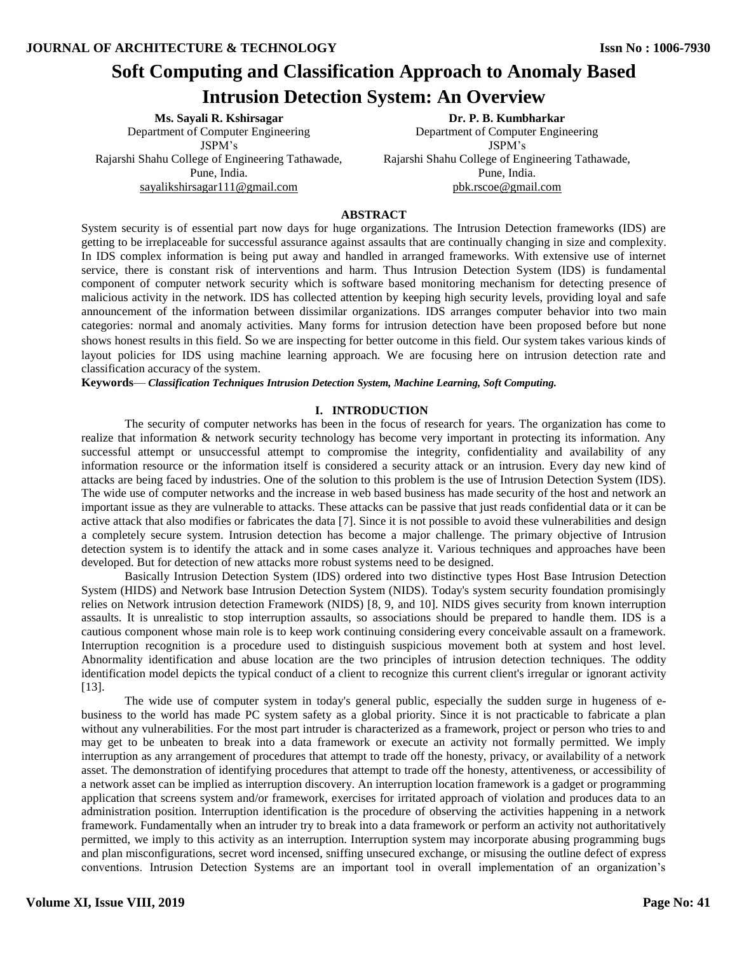# **Soft Computing and Classification Approach to Anomaly Based Intrusion Detection System: An Overview**

**Ms. Sayali R. Kshirsagar** Department of Computer Engineering JSPM's Rajarshi Shahu College of Engineering Tathawade, Pune, India. [sayalikshirsagar111@gmail.com](mailto:sayalikshirsagar111@gmail.com)

**Dr. P. B. Kumbharkar** Department of Computer Engineering JSPM's Rajarshi Shahu College of Engineering Tathawade, Pune, India. pbk.rscoe@gmail.com

## **ABSTRACT**

System security is of essential part now days for huge organizations. The Intrusion Detection frameworks (IDS) are getting to be irreplaceable for successful assurance against assaults that are continually changing in size and complexity. In IDS complex information is being put away and handled in arranged frameworks. With extensive use of internet service, there is constant risk of interventions and harm. Thus Intrusion Detection System (IDS) is fundamental component of computer network security which is software based monitoring mechanism for detecting presence of malicious activity in the network. IDS has collected attention by keeping high security levels, providing loyal and safe announcement of the information between dissimilar organizations. IDS arranges computer behavior into two main categories: normal and anomaly activities. Many forms for intrusion detection have been proposed before but none shows honest results in this field. So we are inspecting for better outcome in this field. Our system takes various kinds of layout policies for IDS using machine learning approach. We are focusing here on intrusion detection rate and classification accuracy of the system.

**Keywords**— *Classification Techniques Intrusion Detection System, Machine Learning, Soft Computing.*

## **I. INTRODUCTION**

The security of computer networks has been in the focus of research for years. The organization has come to realize that information & network security technology has become very important in protecting its information. Any successful attempt or unsuccessful attempt to compromise the integrity, confidentiality and availability of any information resource or the information itself is considered a security attack or an intrusion. Every day new kind of attacks are being faced by industries. One of the solution to this problem is the use of Intrusion Detection System (IDS). The wide use of computer networks and the increase in web based business has made security of the host and network an important issue as they are vulnerable to attacks. These attacks can be passive that just reads confidential data or it can be active attack that also modifies or fabricates the data [7]. Since it is not possible to avoid these vulnerabilities and design a completely secure system. Intrusion detection has become a major challenge. The primary objective of Intrusion detection system is to identify the attack and in some cases analyze it. Various techniques and approaches have been developed. But for detection of new attacks more robust systems need to be designed.

Basically Intrusion Detection System (IDS) ordered into two distinctive types Host Base Intrusion Detection System (HIDS) and Network base Intrusion Detection System (NIDS). Today's system security foundation promisingly relies on Network intrusion detection Framework (NIDS) [8, 9, and 10]. NIDS gives security from known interruption assaults. It is unrealistic to stop interruption assaults, so associations should be prepared to handle them. IDS is a cautious component whose main role is to keep work continuing considering every conceivable assault on a framework. Interruption recognition is a procedure used to distinguish suspicious movement both at system and host level. Abnormality identification and abuse location are the two principles of intrusion detection techniques. The oddity identification model depicts the typical conduct of a client to recognize this current client's irregular or ignorant activity [13].

The wide use of computer system in today's general public, especially the sudden surge in hugeness of ebusiness to the world has made PC system safety as a global priority. Since it is not practicable to fabricate a plan without any vulnerabilities. For the most part intruder is characterized as a framework, project or person who tries to and may get to be unbeaten to break into a data framework or execute an activity not formally permitted. We imply interruption as any arrangement of procedures that attempt to trade off the honesty, privacy, or availability of a network asset. The demonstration of identifying procedures that attempt to trade off the honesty, attentiveness, or accessibility of a network asset can be implied as interruption discovery. An interruption location framework is a gadget or programming application that screens system and/or framework, exercises for irritated approach of violation and produces data to an administration position. Interruption identification is the procedure of observing the activities happening in a network framework. Fundamentally when an intruder try to break into a data framework or perform an activity not authoritatively permitted, we imply to this activity as an interruption. Interruption system may incorporate abusing programming bugs and plan misconfigurations, secret word incensed, sniffing unsecured exchange, or misusing the outline defect of express conventions. Intrusion Detection Systems are an important tool in overall implementation of an organization's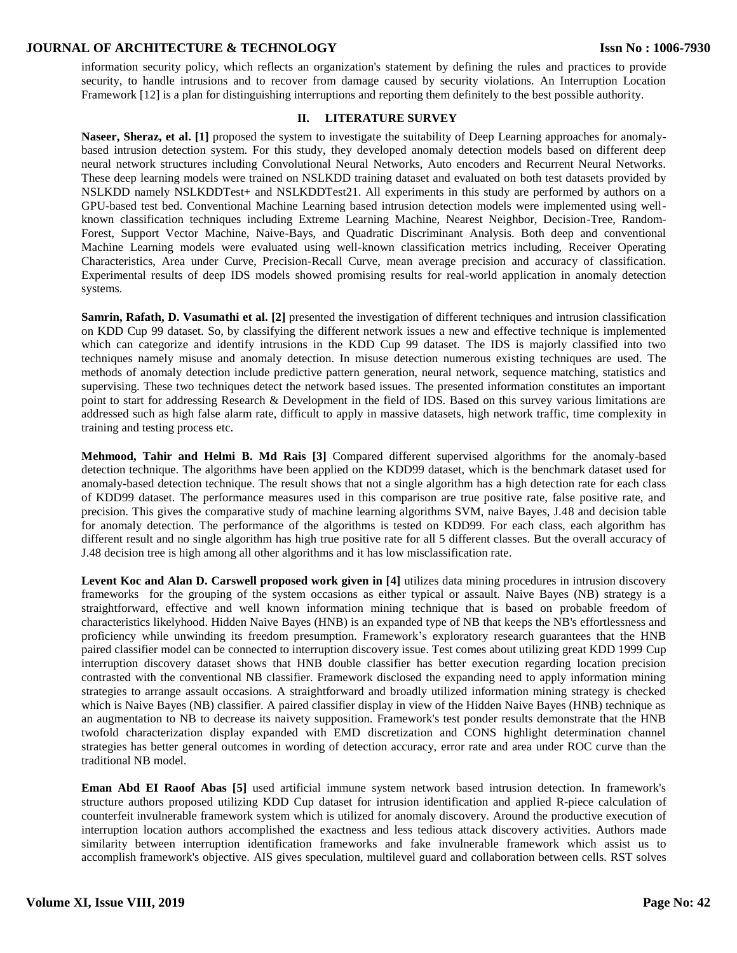information security policy, which reflects an organization's statement by defining the rules and practices to provide security, to handle intrusions and to recover from damage caused by security violations. An Interruption Location Framework [12] is a plan for distinguishing interruptions and reporting them definitely to the best possible authority.

## **II. LITERATURE SURVEY**

**Naseer, Sheraz, et al. [1]** proposed the system to investigate the suitability of Deep Learning approaches for anomalybased intrusion detection system. For this study, they developed anomaly detection models based on different deep neural network structures including Convolutional Neural Networks, Auto encoders and Recurrent Neural Networks. These deep learning models were trained on NSLKDD training dataset and evaluated on both test datasets provided by NSLKDD namely NSLKDDTest+ and NSLKDDTest21. All experiments in this study are performed by authors on a GPU-based test bed. Conventional Machine Learning based intrusion detection models were implemented using wellknown classification techniques including Extreme Learning Machine, Nearest Neighbor, Decision-Tree, Random-Forest, Support Vector Machine, Naive-Bays, and Quadratic Discriminant Analysis. Both deep and conventional Machine Learning models were evaluated using well-known classification metrics including, Receiver Operating Characteristics, Area under Curve, Precision-Recall Curve, mean average precision and accuracy of classification. Experimental results of deep IDS models showed promising results for real-world application in anomaly detection systems.

**Samrin, Rafath, D. Vasumathi et al. [2]** presented the investigation of different techniques and intrusion classification on KDD Cup 99 dataset. So, by classifying the different network issues a new and effective technique is implemented which can categorize and identify intrusions in the KDD Cup 99 dataset. The IDS is majorly classified into two techniques namely misuse and anomaly detection. In misuse detection numerous existing techniques are used. The methods of anomaly detection include predictive pattern generation, neural network, sequence matching, statistics and supervising. These two techniques detect the network based issues. The presented information constitutes an important point to start for addressing Research & Development in the field of IDS. Based on this survey various limitations are addressed such as high false alarm rate, difficult to apply in massive datasets, high network traffic, time complexity in training and testing process etc.

**Mehmood, Tahir and Helmi B. Md Rais [3]** Compared different supervised algorithms for the anomaly-based detection technique. The algorithms have been applied on the KDD99 dataset, which is the benchmark dataset used for anomaly-based detection technique. The result shows that not a single algorithm has a high detection rate for each class of KDD99 dataset. The performance measures used in this comparison are true positive rate, false positive rate, and precision. This gives the comparative study of machine learning algorithms SVM, naive Bayes, J.48 and decision table for anomaly detection. The performance of the algorithms is tested on KDD99. For each class, each algorithm has different result and no single algorithm has high true positive rate for all 5 different classes. But the overall accuracy of J.48 decision tree is high among all other algorithms and it has low misclassification rate.

**Levent Koc and Alan D. Carswell proposed work given in [4]** utilizes data mining procedures in intrusion discovery frameworks for the grouping of the system occasions as either typical or assault. Naive Bayes (NB) strategy is a straightforward, effective and well known information mining technique that is based on probable freedom of characteristics likelyhood. Hidden Naive Bayes (HNB) is an expanded type of NB that keeps the NB's effortlessness and proficiency while unwinding its freedom presumption. Framework's exploratory research guarantees that the HNB paired classifier model can be connected to interruption discovery issue. Test comes about utilizing great KDD 1999 Cup interruption discovery dataset shows that HNB double classifier has better execution regarding location precision contrasted with the conventional NB classifier. Framework disclosed the expanding need to apply information mining strategies to arrange assault occasions. A straightforward and broadly utilized information mining strategy is checked which is Naive Bayes (NB) classifier. A paired classifier display in view of the Hidden Naive Bayes (HNB) technique as an augmentation to NB to decrease its naivety supposition. Framework's test ponder results demonstrate that the HNB twofold characterization display expanded with EMD discretization and CONS highlight determination channel strategies has better general outcomes in wording of detection accuracy, error rate and area under ROC curve than the traditional NB model.

**Eman Abd EI Raoof Abas [5]** used artificial immune system network based intrusion detection. In framework's structure authors proposed utilizing KDD Cup dataset for intrusion identification and applied R-piece calculation of counterfeit invulnerable framework system which is utilized for anomaly discovery. Around the productive execution of interruption location authors accomplished the exactness and less tedious attack discovery activities. Authors made similarity between interruption identification frameworks and fake invulnerable framework which assist us to accomplish framework's objective. AIS gives speculation, multilevel guard and collaboration between cells. RST solves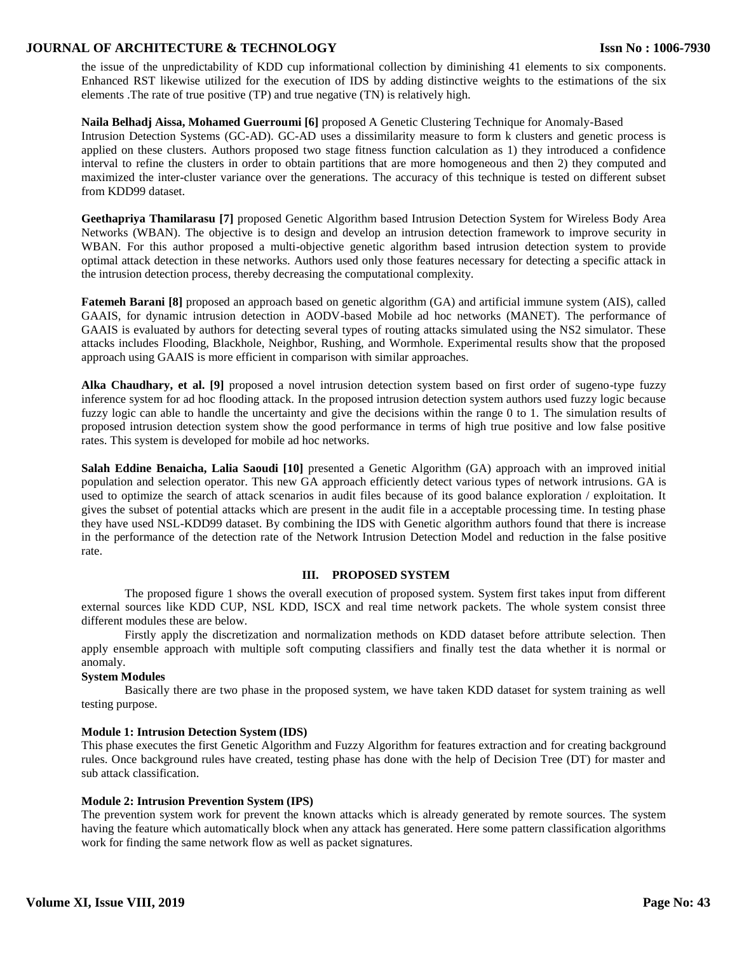the issue of the unpredictability of KDD cup informational collection by diminishing 41 elements to six components. Enhanced RST likewise utilized for the execution of IDS by adding distinctive weights to the estimations of the six elements .The rate of true positive (TP) and true negative (TN) is relatively high.

**Naila Belhadj Aissa, Mohamed Guerroumi [6]** proposed A Genetic Clustering Technique for Anomaly-Based Intrusion Detection Systems (GC-AD). GC-AD uses a dissimilarity measure to form k clusters and genetic process is applied on these clusters. Authors proposed two stage fitness function calculation as 1) they introduced a confidence interval to refine the clusters in order to obtain partitions that are more homogeneous and then 2) they computed and maximized the inter-cluster variance over the generations. The accuracy of this technique is tested on different subset from KDD99 dataset.

**Geethapriya Thamilarasu [7]** proposed Genetic Algorithm based Intrusion Detection System for Wireless Body Area Networks (WBAN). The objective is to design and develop an intrusion detection framework to improve security in WBAN. For this author proposed a multi-objective genetic algorithm based intrusion detection system to provide optimal attack detection in these networks. Authors used only those features necessary for detecting a specific attack in the intrusion detection process, thereby decreasing the computational complexity.

**Fatemeh Barani [8]** proposed an approach based on genetic algorithm (GA) and artificial immune system (AIS), called GAAIS, for dynamic intrusion detection in AODV-based Mobile ad hoc networks (MANET). The performance of GAAIS is evaluated by authors for detecting several types of routing attacks simulated using the NS2 simulator. These attacks includes Flooding, Blackhole, Neighbor, Rushing, and Wormhole. Experimental results show that the proposed approach using GAAIS is more efficient in comparison with similar approaches.

**Alka Chaudhary, et al. [9]** proposed a novel intrusion detection system based on first order of sugeno-type fuzzy inference system for ad hoc flooding attack. In the proposed intrusion detection system authors used fuzzy logic because fuzzy logic can able to handle the uncertainty and give the decisions within the range 0 to 1. The simulation results of proposed intrusion detection system show the good performance in terms of high true positive and low false positive rates. This system is developed for mobile ad hoc networks.

**Salah Eddine Benaicha, Lalia Saoudi [10]** presented a Genetic Algorithm (GA) approach with an improved initial population and selection operator. This new GA approach efficiently detect various types of network intrusions. GA is used to optimize the search of attack scenarios in audit files because of its good balance exploration / exploitation. It gives the subset of potential attacks which are present in the audit file in a acceptable processing time. In testing phase they have used NSL-KDD99 dataset. By combining the IDS with Genetic algorithm authors found that there is increase in the performance of the detection rate of the Network Intrusion Detection Model and reduction in the false positive rate.

## **III. PROPOSED SYSTEM**

The proposed figure 1 shows the overall execution of proposed system. System first takes input from different external sources like KDD CUP, NSL KDD, ISCX and real time network packets. The whole system consist three different modules these are below.

Firstly apply the discretization and normalization methods on KDD dataset before attribute selection. Then apply ensemble approach with multiple soft computing classifiers and finally test the data whether it is normal or anomaly.

## **System Modules**

Basically there are two phase in the proposed system, we have taken KDD dataset for system training as well testing purpose.

## **Module 1: Intrusion Detection System (IDS)**

This phase executes the first Genetic Algorithm and Fuzzy Algorithm for features extraction and for creating background rules. Once background rules have created, testing phase has done with the help of Decision Tree (DT) for master and sub attack classification.

## **Module 2: Intrusion Prevention System (IPS)**

The prevention system work for prevent the known attacks which is already generated by remote sources. The system having the feature which automatically block when any attack has generated. Here some pattern classification algorithms work for finding the same network flow as well as packet signatures.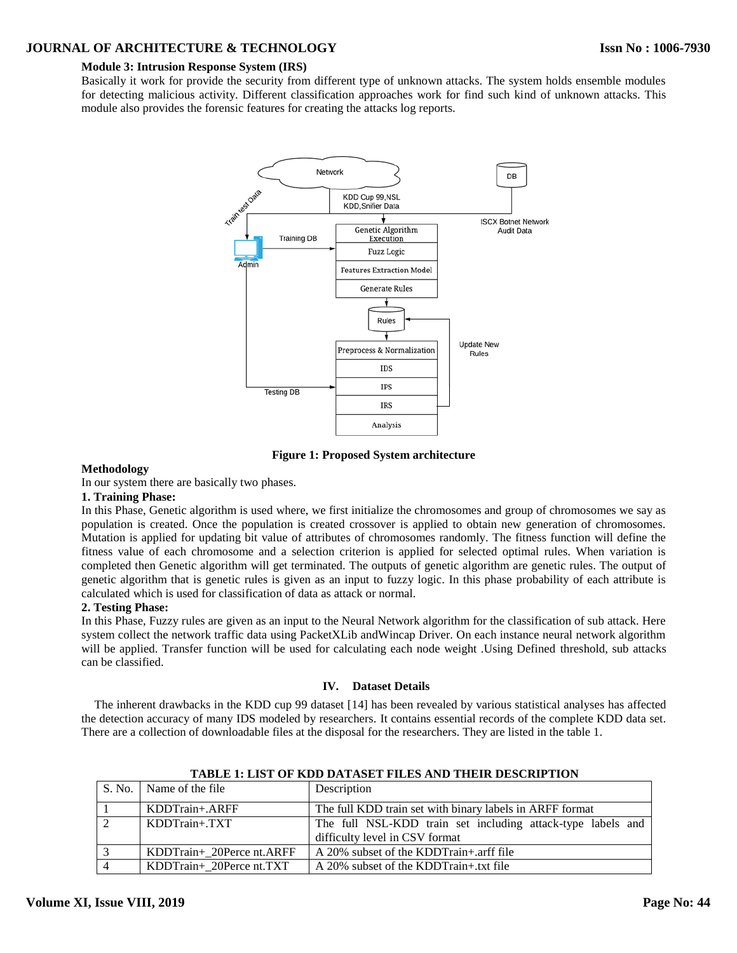# **Module 3: Intrusion Response System (IRS)**

Basically it work for provide the security from different type of unknown attacks. The system holds ensemble modules for detecting malicious activity. Different classification approaches work for find such kind of unknown attacks. This module also provides the forensic features for creating the attacks log reports.



**Figure 1: Proposed System architecture**

## **Methodology**

In our system there are basically two phases.

## **1. Training Phase:**

In this Phase, Genetic algorithm is used where, we first initialize the chromosomes and group of chromosomes we say as population is created. Once the population is created crossover is applied to obtain new generation of chromosomes. Mutation is applied for updating bit value of attributes of chromosomes randomly. The fitness function will define the fitness value of each chromosome and a selection criterion is applied for selected optimal rules. When variation is completed then Genetic algorithm will get terminated. The outputs of genetic algorithm are genetic rules. The output of genetic algorithm that is genetic rules is given as an input to fuzzy logic. In this phase probability of each attribute is calculated which is used for classification of data as attack or normal.

## **2. Testing Phase:**

In this Phase, Fuzzy rules are given as an input to the Neural Network algorithm for the classification of sub attack. Here system collect the network traffic data using PacketXLib andWincap Driver. On each instance neural network algorithm will be applied. Transfer function will be used for calculating each node weight .Using Defined threshold, sub attacks can be classified.

## **IV. Dataset Details**

The inherent drawbacks in the KDD cup 99 dataset [14] has been revealed by various statistical analyses has affected the detection accuracy of many IDS modeled by researchers. It contains essential records of the complete KDD data set. There are a collection of downloadable files at the disposal for the researchers. They are listed in the table 1.

| S. No. Name of the file   | Description                                                 |
|---------------------------|-------------------------------------------------------------|
| $KDDTrain+.ARFF$          | The full KDD train set with binary labels in ARFF format    |
| $KDDTrain+. TXT$          | The full NSL-KDD train set including attack-type labels and |
|                           | difficulty level in CSV format                              |
| KDDTrain+ 20Perce nt.ARFF | A 20% subset of the KDDTrain+.arff file                     |
| KDDTrain+_20Perce nt.TXT  | A 20% subset of the KDDTrain+.txt file                      |

**TABLE 1: LIST OF KDD DATASET FILES AND THEIR DESCRIPTION**